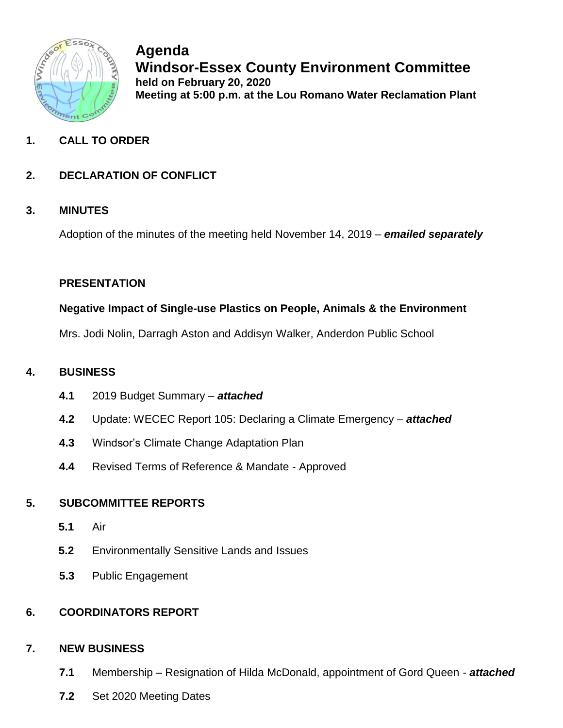

**Agenda Windsor-Essex County Environment Committee held on February 20, 2020 Meeting at 5:00 p.m. at the Lou Romano Water Reclamation Plant**

# **1. CALL TO ORDER**

# **2. DECLARATION OF CONFLICT**

### **3. MINUTES**

Adoption of the minutes of the meeting held November 14, 2019 – *emailed separately*

### **PRESENTATION**

#### **Negative Impact of Single-use Plastics on People, Animals & the Environment**

Mrs. Jodi Nolin, Darragh Aston and Addisyn Walker, Anderdon Public School

## **4. BUSINESS**

- **4.1** 2019 Budget Summary *attached*
- **4.2** Update: WECEC Report 105: Declaring a Climate Emergency *attached*
- **4.3** Windsor's Climate Change Adaptation Plan
- **4.4** Revised Terms of Reference & Mandate Approved

## **5. SUBCOMMITTEE REPORTS**

- **5.1** Air
- **5.2** Environmentally Sensitive Lands and Issues
- **5.3** Public Engagement

## **6. COORDINATORS REPORT**

#### **7. NEW BUSINESS**

- **7.1** Membership Resignation of Hilda McDonald, appointment of Gord Queen *attached*
- **7.2** Set 2020 Meeting Dates